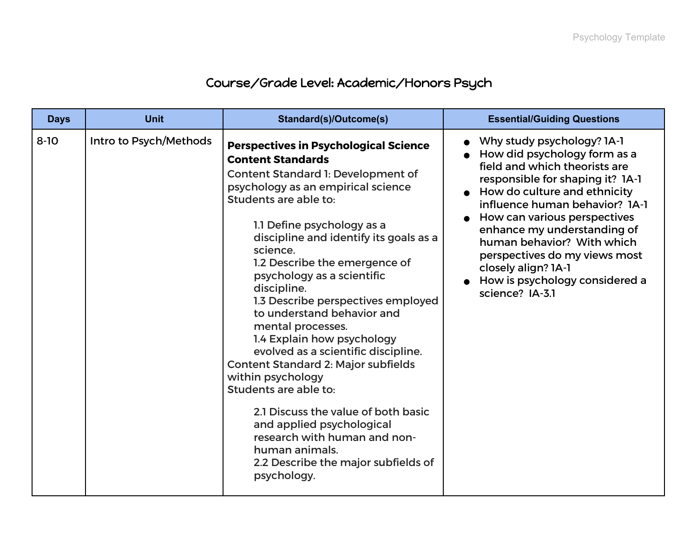## Course/Grade Level: Academic/Honors Psych

| <b>Days</b> | <b>Unit</b>            | Standard(s)/Outcome(s)                                                                                                                                                                                                                                                                                                                                                                                                                                                                                                                                                                                                                                                                                                                                                                | <b>Essential/Guiding Questions</b>                                                                                                                                                                                                                                                                                                                                                                                |
|-------------|------------------------|---------------------------------------------------------------------------------------------------------------------------------------------------------------------------------------------------------------------------------------------------------------------------------------------------------------------------------------------------------------------------------------------------------------------------------------------------------------------------------------------------------------------------------------------------------------------------------------------------------------------------------------------------------------------------------------------------------------------------------------------------------------------------------------|-------------------------------------------------------------------------------------------------------------------------------------------------------------------------------------------------------------------------------------------------------------------------------------------------------------------------------------------------------------------------------------------------------------------|
| $8 - 10$    | Intro to Psych/Methods | <b>Perspectives in Psychological Science</b><br><b>Content Standards</b><br>Content Standard 1: Development of<br>psychology as an empirical science<br>Students are able to:<br>1.1 Define psychology as a<br>discipline and identify its goals as a<br>science.<br>1.2 Describe the emergence of<br>psychology as a scientific<br>discipline.<br>1.3 Describe perspectives employed<br>to understand behavior and<br>mental processes.<br>1.4 Explain how psychology<br>evolved as a scientific discipline.<br><b>Content Standard 2: Major subfields</b><br>within psychology<br>Students are able to:<br>2.1 Discuss the value of both basic<br>and applied psychological<br>research with human and non-<br>human animals.<br>2.2 Describe the major subfields of<br>psychology. | • Why study psychology? 1A-1<br>• How did psychology form as a<br>field and which theorists are<br>responsible for shaping it? 1A-1<br>• How do culture and ethnicity<br>influence human behavior? 1A-1<br>How can various perspectives<br>enhance my understanding of<br>human behavior? With which<br>perspectives do my views most<br>closely align? 1A-1<br>How is psychology considered a<br>science? IA-3.1 |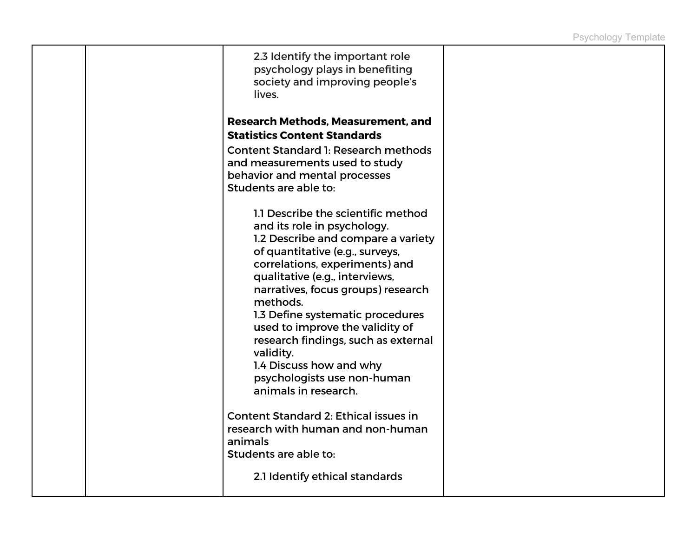| 2.3 Identify the important role<br>psychology plays in benefiting<br>society and improving people's<br>lives.                                                                                                                                                                                                                                                                                                                                                                 |  |
|-------------------------------------------------------------------------------------------------------------------------------------------------------------------------------------------------------------------------------------------------------------------------------------------------------------------------------------------------------------------------------------------------------------------------------------------------------------------------------|--|
| <b>Research Methods, Measurement, and</b><br><b>Statistics Content Standards</b>                                                                                                                                                                                                                                                                                                                                                                                              |  |
| <b>Content Standard 1: Research methods</b><br>and measurements used to study<br>behavior and mental processes<br>Students are able to:                                                                                                                                                                                                                                                                                                                                       |  |
| 1.1 Describe the scientific method<br>and its role in psychology.<br>1.2 Describe and compare a variety<br>of quantitative (e.g., surveys,<br>correlations, experiments) and<br>qualitative (e.g., interviews,<br>narratives, focus groups) research<br>methods.<br>1.3 Define systematic procedures<br>used to improve the validity of<br>research findings, such as external<br>validity.<br>1.4 Discuss how and why<br>psychologists use non-human<br>animals in research. |  |
| <b>Content Standard 2: Ethical issues in</b><br>research with human and non-human<br>animals<br>Students are able to:                                                                                                                                                                                                                                                                                                                                                         |  |
| 2.1 Identify ethical standards                                                                                                                                                                                                                                                                                                                                                                                                                                                |  |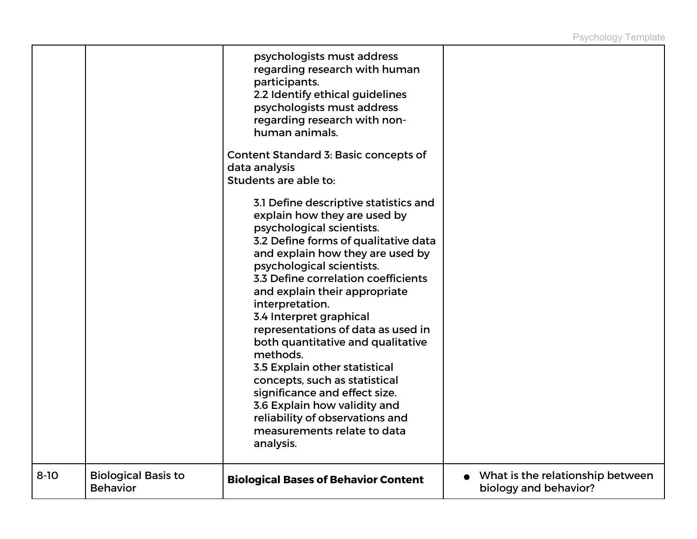|          |                                               | psychologists must address<br>regarding research with human<br>participants.<br>2.2 Identify ethical guidelines<br>psychologists must address<br>regarding research with non-<br>human animals.<br>Content Standard 3: Basic concepts of<br>data analysis<br>Students are able to:<br>3.1 Define descriptive statistics and<br>explain how they are used by                                                                                                                                                                                                       |                                                             |
|----------|-----------------------------------------------|-------------------------------------------------------------------------------------------------------------------------------------------------------------------------------------------------------------------------------------------------------------------------------------------------------------------------------------------------------------------------------------------------------------------------------------------------------------------------------------------------------------------------------------------------------------------|-------------------------------------------------------------|
|          |                                               | psychological scientists.<br>3.2 Define forms of qualitative data<br>and explain how they are used by<br>psychological scientists.<br>3.3 Define correlation coefficients<br>and explain their appropriate<br>interpretation.<br>3.4 Interpret graphical<br>representations of data as used in<br>both quantitative and qualitative<br>methods.<br>3.5 Explain other statistical<br>concepts, such as statistical<br>significance and effect size.<br>3.6 Explain how validity and<br>reliability of observations and<br>measurements relate to data<br>analysis. |                                                             |
| $8 - 10$ | <b>Biological Basis to</b><br><b>Behavior</b> | <b>Biological Bases of Behavior Content</b>                                                                                                                                                                                                                                                                                                                                                                                                                                                                                                                       | • What is the relationship between<br>biology and behavior? |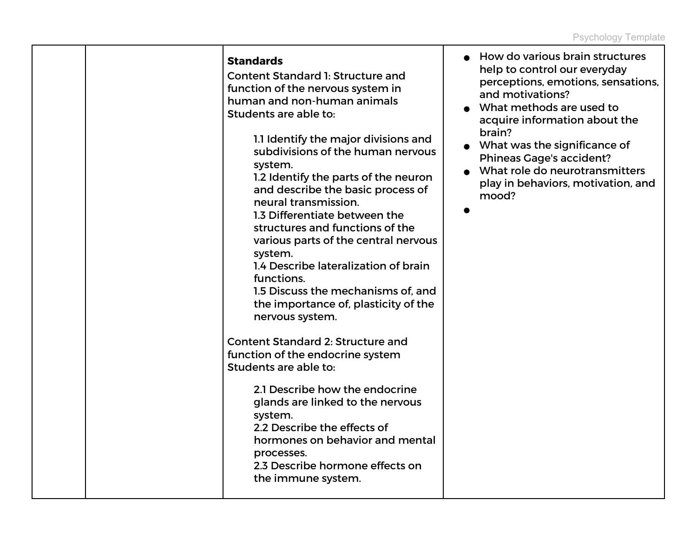|  | <b>Standards</b><br><b>Content Standard 1: Structure and</b><br>function of the nervous system in<br>human and non-human animals<br>Students are able to:<br>1.1 Identify the major divisions and<br>subdivisions of the human nervous<br>system.<br>1.2 Identify the parts of the neuron<br>and describe the basic process of<br>neural transmission.<br>1.3 Differentiate between the<br>structures and functions of the<br>various parts of the central nervous<br>system.<br>1.4 Describe lateralization of brain<br>functions.<br>1.5 Discuss the mechanisms of, and<br>the importance of, plasticity of the<br>nervous system.<br><b>Content Standard 2: Structure and</b><br>function of the endocrine system<br>Students are able to:<br>2.1 Describe how the endocrine<br>glands are linked to the nervous<br>system.<br>2.2 Describe the effects of<br>hormones on behavior and mental<br>processes.<br>2.3 Describe hormone effects on<br>the immune system. | How do various brain structures<br>help to control our everyday<br>perceptions, emotions, sensations,<br>and motivations?<br>What methods are used to<br>acquire information about the<br>brain?<br>What was the significance of<br><b>Phineas Gage's accident?</b><br>• What role do neurotransmitters<br>play in behaviors, motivation, and<br>mood? |
|--|-------------------------------------------------------------------------------------------------------------------------------------------------------------------------------------------------------------------------------------------------------------------------------------------------------------------------------------------------------------------------------------------------------------------------------------------------------------------------------------------------------------------------------------------------------------------------------------------------------------------------------------------------------------------------------------------------------------------------------------------------------------------------------------------------------------------------------------------------------------------------------------------------------------------------------------------------------------------------|--------------------------------------------------------------------------------------------------------------------------------------------------------------------------------------------------------------------------------------------------------------------------------------------------------------------------------------------------------|
|--|-------------------------------------------------------------------------------------------------------------------------------------------------------------------------------------------------------------------------------------------------------------------------------------------------------------------------------------------------------------------------------------------------------------------------------------------------------------------------------------------------------------------------------------------------------------------------------------------------------------------------------------------------------------------------------------------------------------------------------------------------------------------------------------------------------------------------------------------------------------------------------------------------------------------------------------------------------------------------|--------------------------------------------------------------------------------------------------------------------------------------------------------------------------------------------------------------------------------------------------------------------------------------------------------------------------------------------------------|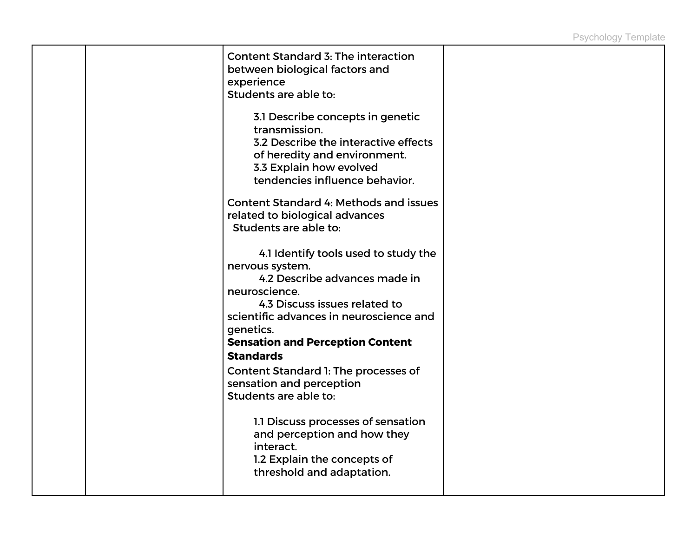|  | <b>Content Standard 3: The interaction</b><br>between biological factors and<br>experience<br>Students are able to:                                                                                                                                                                                       |  |
|--|-----------------------------------------------------------------------------------------------------------------------------------------------------------------------------------------------------------------------------------------------------------------------------------------------------------|--|
|  | 3.1 Describe concepts in genetic<br>transmission.<br>3.2 Describe the interactive effects<br>of heredity and environment.<br>3.3 Explain how evolved<br>tendencies influence behavior.                                                                                                                    |  |
|  | Content Standard 4: Methods and issues<br>related to biological advances<br>Students are able to:                                                                                                                                                                                                         |  |
|  | 4.1 Identify tools used to study the<br>nervous system.<br>4.2 Describe advances made in<br>neuroscience.<br>4.3 Discuss issues related to<br>scientific advances in neuroscience and<br>genetics.<br><b>Sensation and Perception Content</b><br><b>Standards</b><br>Content Standard 1: The processes of |  |
|  | sensation and perception<br>Students are able to:                                                                                                                                                                                                                                                         |  |
|  | 1.1 Discuss processes of sensation<br>and perception and how they<br>interact.<br>1.2 Explain the concepts of<br>threshold and adaptation.                                                                                                                                                                |  |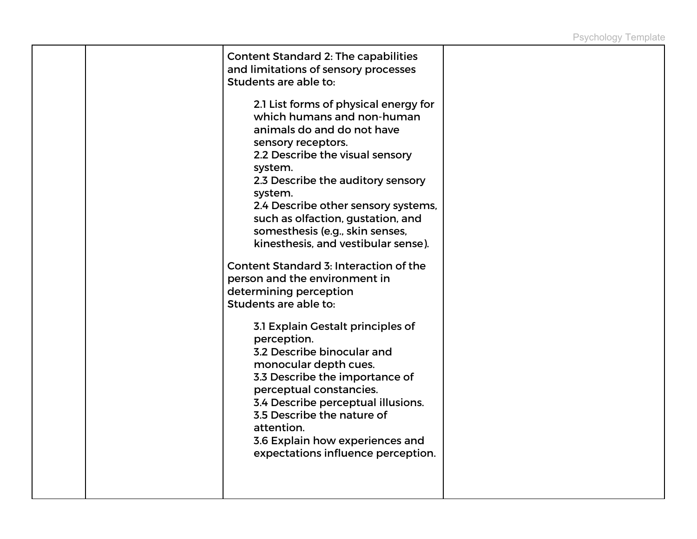| Content Standard 2: The capabilities<br>and limitations of sensory processes<br>Students are able to:                                                                                                                                                                                                                                                                                                                                                                                                     |  |
|-----------------------------------------------------------------------------------------------------------------------------------------------------------------------------------------------------------------------------------------------------------------------------------------------------------------------------------------------------------------------------------------------------------------------------------------------------------------------------------------------------------|--|
| 2.1 List forms of physical energy for<br>which humans and non-human<br>animals do and do not have<br>sensory receptors.<br>2.2 Describe the visual sensory<br>system.<br>2.3 Describe the auditory sensory<br>system.<br>2.4 Describe other sensory systems,<br>such as olfaction, gustation, and<br>somesthesis (e.g., skin senses,<br>kinesthesis, and vestibular sense).<br>Content Standard 3: Interaction of the<br>person and the environment in<br>determining perception<br>Students are able to: |  |
| 3.1 Explain Gestalt principles of<br>perception.<br>3.2 Describe binocular and<br>monocular depth cues.<br>3.3 Describe the importance of<br>perceptual constancies.<br>3.4 Describe perceptual illusions.<br>3.5 Describe the nature of<br>attention.<br>3.6 Explain how experiences and<br>expectations influence perception.                                                                                                                                                                           |  |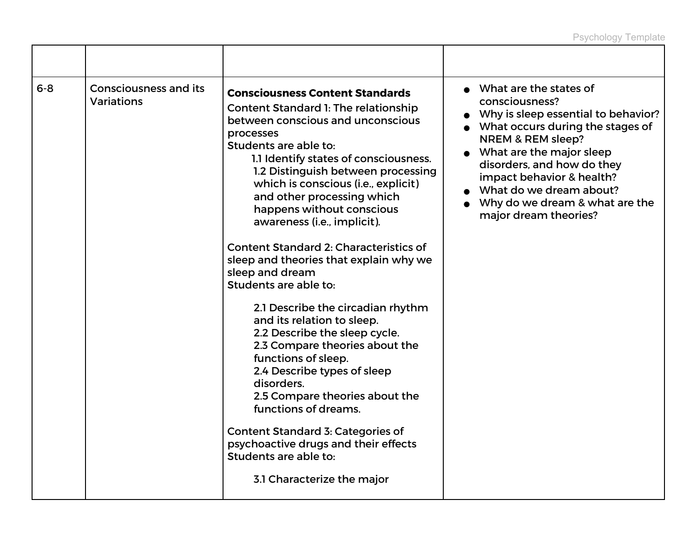| $6 - 8$ | <b>Consciousness and its</b><br><b>Variations</b> | <b>Consciousness Content Standards</b><br>Content Standard 1: The relationship<br>between conscious and unconscious<br>processes<br>Students are able to:<br>1.1 Identify states of consciousness.<br>1.2 Distinguish between processing<br>which is conscious (i.e., explicit)<br>and other processing which<br>happens without conscious<br>awareness (i.e., implicit).<br><b>Content Standard 2: Characteristics of</b><br>sleep and theories that explain why we<br>sleep and dream<br>Students are able to: | • What are the states of<br>consciousness?<br>• Why is sleep essential to behavior?<br>• What occurs during the stages of<br>NREM & REM sleep?<br>• What are the major sleep<br>disorders, and how do they<br>impact behavior & health?<br>• What do we dream about?<br>Why do we dream & what are the<br>major dream theories? |
|---------|---------------------------------------------------|------------------------------------------------------------------------------------------------------------------------------------------------------------------------------------------------------------------------------------------------------------------------------------------------------------------------------------------------------------------------------------------------------------------------------------------------------------------------------------------------------------------|---------------------------------------------------------------------------------------------------------------------------------------------------------------------------------------------------------------------------------------------------------------------------------------------------------------------------------|
|         |                                                   | 2.1 Describe the circadian rhythm<br>and its relation to sleep.<br>2.2 Describe the sleep cycle.<br>2.3 Compare theories about the<br>functions of sleep.<br>2.4 Describe types of sleep<br>disorders.<br>2.5 Compare theories about the<br>functions of dreams.<br><b>Content Standard 3: Categories of</b><br>psychoactive drugs and their effects                                                                                                                                                             |                                                                                                                                                                                                                                                                                                                                 |
|         |                                                   | Students are able to:<br>3.1 Characterize the major                                                                                                                                                                                                                                                                                                                                                                                                                                                              |                                                                                                                                                                                                                                                                                                                                 |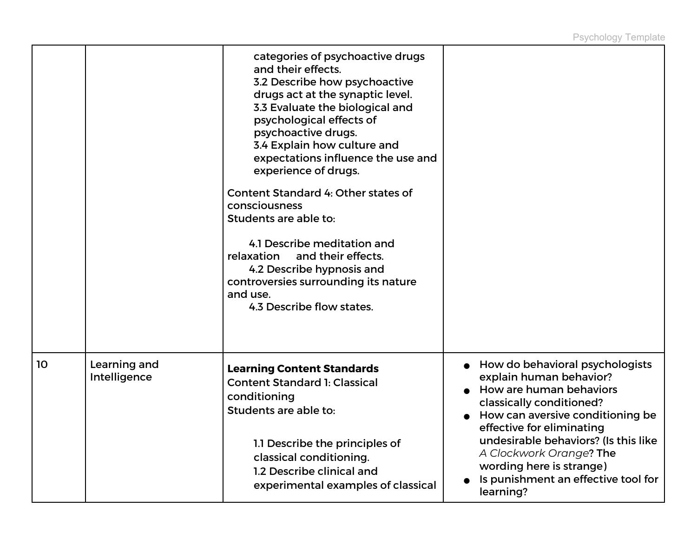|    |                              | categories of psychoactive drugs<br>and their effects.<br>3.2 Describe how psychoactive<br>drugs act at the synaptic level.<br>3.3 Evaluate the biological and<br>psychological effects of<br>psychoactive drugs.<br>3.4 Explain how culture and<br>expectations influence the use and<br>experience of drugs.<br>Content Standard 4: Other states of<br>consciousness<br>Students are able to:<br>4.1 Describe meditation and<br>relaxation<br>and their effects.<br>4.2 Describe hypnosis and<br>controversies surrounding its nature<br>and use.<br>4.3 Describe flow states. |                                                                                                                                                                                    |
|----|------------------------------|----------------------------------------------------------------------------------------------------------------------------------------------------------------------------------------------------------------------------------------------------------------------------------------------------------------------------------------------------------------------------------------------------------------------------------------------------------------------------------------------------------------------------------------------------------------------------------|------------------------------------------------------------------------------------------------------------------------------------------------------------------------------------|
| 10 | Learning and<br>Intelligence | <b>Learning Content Standards</b><br><b>Content Standard 1: Classical</b><br>conditioning<br>Students are able to:                                                                                                                                                                                                                                                                                                                                                                                                                                                               | How do behavioral psychologists<br>explain human behavior?<br>How are human behaviors<br>classically conditioned?<br>How can aversive conditioning be<br>effective for eliminating |
|    |                              | 1.1 Describe the principles of<br>classical conditioning.<br>1.2 Describe clinical and<br>experimental examples of classical                                                                                                                                                                                                                                                                                                                                                                                                                                                     | undesirable behaviors? (Is this like<br>A Clockwork Orange? The<br>wording here is strange)<br>Is punishment an effective tool for<br>learning?                                    |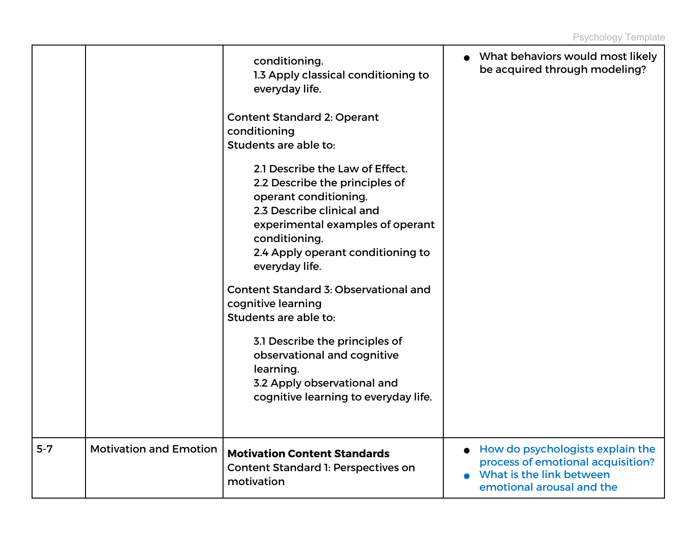|         |                               | conditioning.<br>1.3 Apply classical conditioning to<br>everyday life.<br><b>Content Standard 2: Operant</b>                                                                                                                                                                                                                                                                                                                                                                     | • What behaviors would most likely<br>be acquired through modeling?                                                            |
|---------|-------------------------------|----------------------------------------------------------------------------------------------------------------------------------------------------------------------------------------------------------------------------------------------------------------------------------------------------------------------------------------------------------------------------------------------------------------------------------------------------------------------------------|--------------------------------------------------------------------------------------------------------------------------------|
|         |                               | conditioning<br>Students are able to:                                                                                                                                                                                                                                                                                                                                                                                                                                            |                                                                                                                                |
|         |                               | 2.1 Describe the Law of Effect.<br>2.2 Describe the principles of<br>operant conditioning.<br>2.3 Describe clinical and<br>experimental examples of operant<br>conditioning.<br>2.4 Apply operant conditioning to<br>everyday life.<br>Content Standard 3: Observational and<br>cognitive learning<br>Students are able to:<br>3.1 Describe the principles of<br>observational and cognitive<br>learning.<br>3.2 Apply observational and<br>cognitive learning to everyday life. |                                                                                                                                |
|         |                               |                                                                                                                                                                                                                                                                                                                                                                                                                                                                                  |                                                                                                                                |
| $5 - 7$ | <b>Motivation and Emotion</b> | <b>Motivation Content Standards</b><br>Content Standard 1: Perspectives on<br>motivation                                                                                                                                                                                                                                                                                                                                                                                         | How do psychologists explain the<br>process of emotional acquisition?<br>What is the link between<br>emotional arousal and the |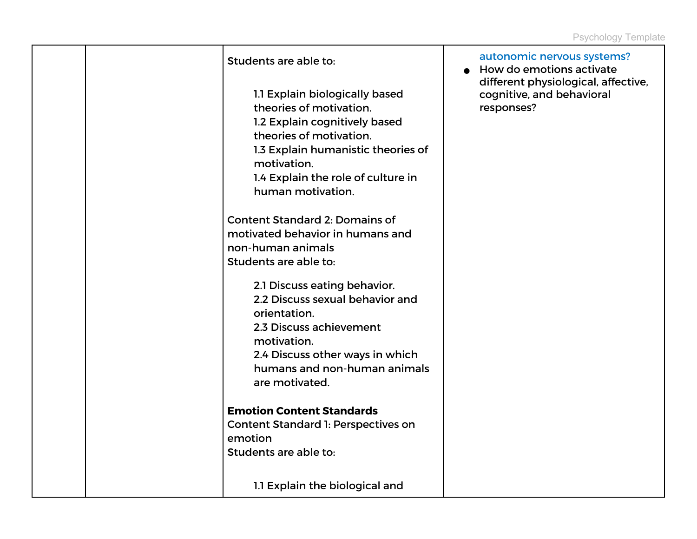| Students are able to:<br>1.1 Explain biologically based<br>theories of motivation.<br>1.2 Explain cognitively based<br>theories of motivation.<br>1.3 Explain humanistic theories of<br>motivation.<br>1.4 Explain the role of culture in<br>human motivation. | autonomic nervous systems?<br>How do emotions activate<br>$\bullet$<br>different physiological, affective,<br>cognitive, and behavioral<br>responses? |
|----------------------------------------------------------------------------------------------------------------------------------------------------------------------------------------------------------------------------------------------------------------|-------------------------------------------------------------------------------------------------------------------------------------------------------|
| <b>Content Standard 2: Domains of</b><br>motivated behavior in humans and<br>non-human animals<br>Students are able to:                                                                                                                                        |                                                                                                                                                       |
| 2.1 Discuss eating behavior.<br>2.2 Discuss sexual behavior and<br>orientation.<br>2.3 Discuss achievement<br>motivation.<br>2.4 Discuss other ways in which<br>humans and non-human animals<br>are motivated.                                                 |                                                                                                                                                       |
| <b>Emotion Content Standards</b><br>Content Standard 1: Perspectives on<br>emotion<br>Students are able to:                                                                                                                                                    |                                                                                                                                                       |
| 1.1 Explain the biological and                                                                                                                                                                                                                                 |                                                                                                                                                       |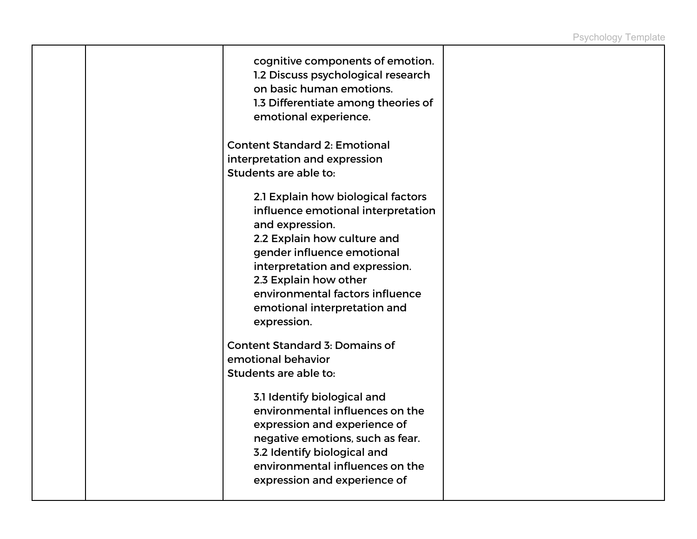|  | cognitive components of emotion.<br>1.2 Discuss psychological research<br>on basic human emotions.<br>1.3 Differentiate among theories of<br>emotional experience.                                                                   |  |
|--|--------------------------------------------------------------------------------------------------------------------------------------------------------------------------------------------------------------------------------------|--|
|  | <b>Content Standard 2: Emotional</b><br>interpretation and expression<br>Students are able to:<br>2.1 Explain how biological factors<br>influence emotional interpretation<br>and expression.<br>2.2 Explain how culture and         |  |
|  | gender influence emotional<br>interpretation and expression.<br>2.3 Explain how other<br>environmental factors influence<br>emotional interpretation and<br>expression.                                                              |  |
|  | <b>Content Standard 3: Domains of</b><br>emotional behavior<br>Students are able to:                                                                                                                                                 |  |
|  | 3.1 Identify biological and<br>environmental influences on the<br>expression and experience of<br>negative emotions, such as fear.<br>3.2 Identify biological and<br>environmental influences on the<br>expression and experience of |  |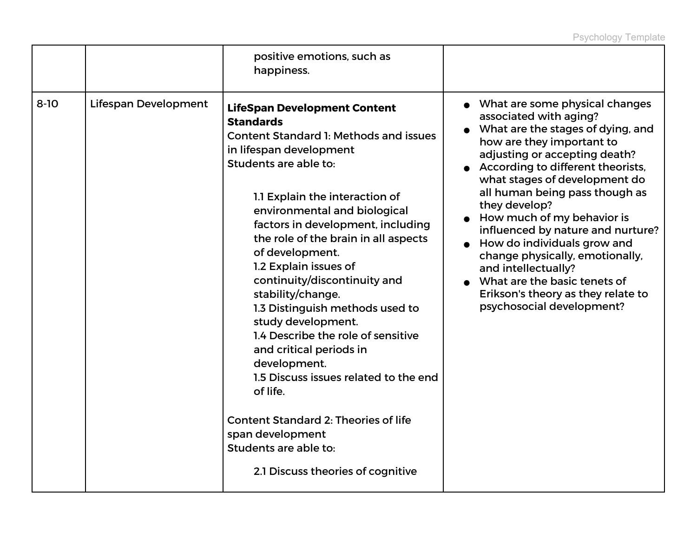| positive emotions, such as<br>happiness.                                                                                                                                                                                                                                                                                                                                                                                                                                                                                                                                                                                                                                                                                                                                         |                                                                                                                                                                                                                                                                                                                                                                                                                                                                                                                                                     |
|----------------------------------------------------------------------------------------------------------------------------------------------------------------------------------------------------------------------------------------------------------------------------------------------------------------------------------------------------------------------------------------------------------------------------------------------------------------------------------------------------------------------------------------------------------------------------------------------------------------------------------------------------------------------------------------------------------------------------------------------------------------------------------|-----------------------------------------------------------------------------------------------------------------------------------------------------------------------------------------------------------------------------------------------------------------------------------------------------------------------------------------------------------------------------------------------------------------------------------------------------------------------------------------------------------------------------------------------------|
| $8 - 10$<br>Lifespan Development<br><b>LifeSpan Development Content</b><br><b>Standards</b><br><b>Content Standard 1: Methods and issues</b><br>in lifespan development<br>Students are able to:<br>1.1 Explain the interaction of<br>environmental and biological<br>factors in development, including<br>the role of the brain in all aspects<br>of development.<br>1.2 Explain issues of<br>continuity/discontinuity and<br>stability/change.<br>1.3 Distinguish methods used to<br>study development.<br>1.4 Describe the role of sensitive<br>and critical periods in<br>development.<br>1.5 Discuss issues related to the end<br>of life.<br><b>Content Standard 2: Theories of life</b><br>span development<br>Students are able to:<br>2.1 Discuss theories of cognitive | What are some physical changes<br>associated with aging?<br>What are the stages of dying, and<br>how are they important to<br>adjusting or accepting death?<br>According to different theorists,<br>what stages of development do<br>all human being pass though as<br>they develop?<br>How much of my behavior is<br>influenced by nature and nurture?<br>How do individuals grow and<br>change physically, emotionally,<br>and intellectually?<br>What are the basic tenets of<br>Erikson's theory as they relate to<br>psychosocial development? |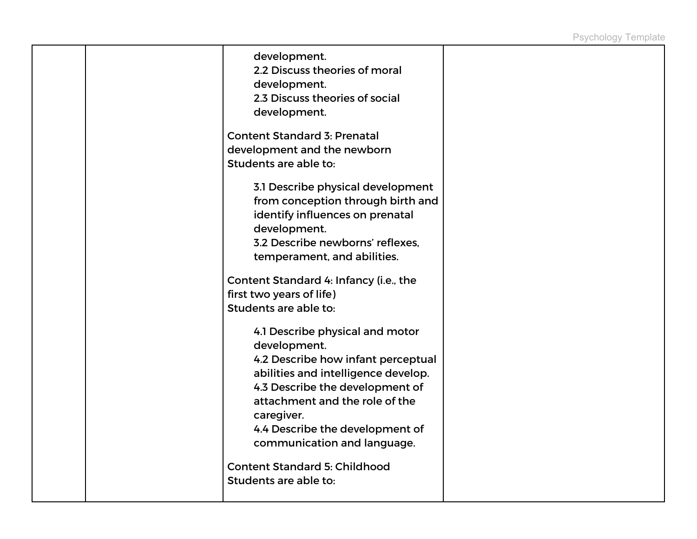|  | development.<br>2.2 Discuss theories of moral<br>development.<br>2.3 Discuss theories of social<br>development.<br><b>Content Standard 3: Prenatal</b><br>development and the newborn<br>Students are able to:<br>3.1 Describe physical development<br>from conception through birth and<br>identify influences on prenatal<br>development.<br>3.2 Describe newborns' reflexes, |  |
|--|---------------------------------------------------------------------------------------------------------------------------------------------------------------------------------------------------------------------------------------------------------------------------------------------------------------------------------------------------------------------------------|--|
|  | temperament, and abilities.<br>Content Standard 4: Infancy (i.e., the                                                                                                                                                                                                                                                                                                           |  |
|  | first two years of life)                                                                                                                                                                                                                                                                                                                                                        |  |
|  | Students are able to:                                                                                                                                                                                                                                                                                                                                                           |  |
|  | 4.1 Describe physical and motor<br>development.<br>4.2 Describe how infant perceptual<br>abilities and intelligence develop.<br>4.3 Describe the development of<br>attachment and the role of the<br>caregiver.<br>4.4 Describe the development of<br>communication and language.<br><b>Content Standard 5: Childhood</b>                                                       |  |
|  | Students are able to:                                                                                                                                                                                                                                                                                                                                                           |  |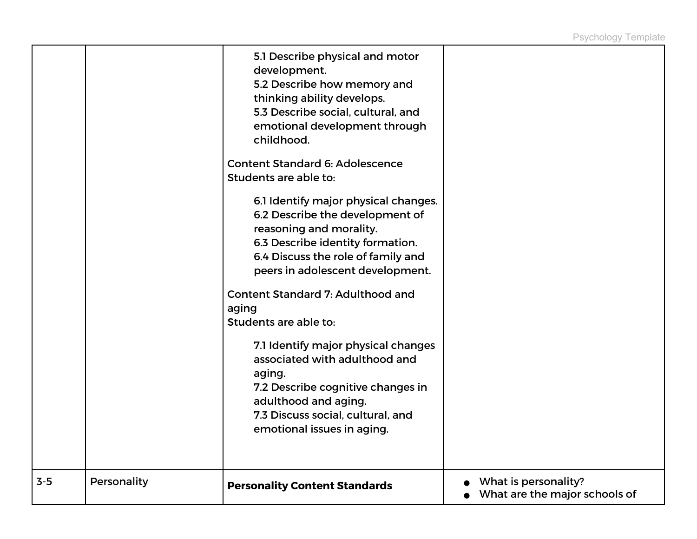|       |             | 5.1 Describe physical and motor<br>development.<br>5.2 Describe how memory and<br>thinking ability develops.<br>5.3 Describe social, cultural, and<br>emotional development through<br>childhood.<br><b>Content Standard 6: Adolescence</b><br>Students are able to:<br>6.1 Identify major physical changes.<br>6.2 Describe the development of<br>reasoning and morality.<br>6.3 Describe identity formation.<br>6.4 Discuss the role of family and<br>peers in adolescent development.<br><b>Content Standard 7: Adulthood and</b><br>aging<br>Students are able to:<br>7.1 Identify major physical changes<br>associated with adulthood and<br>aging.<br>7.2 Describe cognitive changes in<br>adulthood and aging.<br>7.3 Discuss social, cultural, and<br>emotional issues in aging. |                                                       |
|-------|-------------|------------------------------------------------------------------------------------------------------------------------------------------------------------------------------------------------------------------------------------------------------------------------------------------------------------------------------------------------------------------------------------------------------------------------------------------------------------------------------------------------------------------------------------------------------------------------------------------------------------------------------------------------------------------------------------------------------------------------------------------------------------------------------------------|-------------------------------------------------------|
| $3-5$ | Personality | <b>Personality Content Standards</b>                                                                                                                                                                                                                                                                                                                                                                                                                                                                                                                                                                                                                                                                                                                                                     | What is personality?<br>What are the major schools of |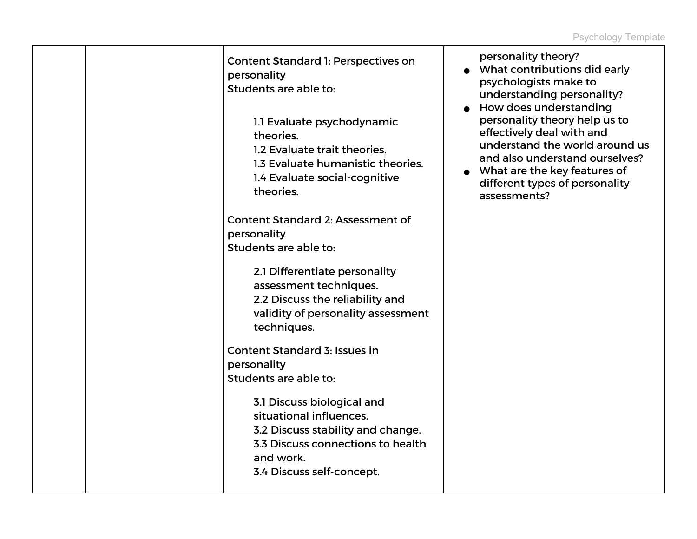| Content Standard 1: Perspectives on<br>personality<br>Students are able to:<br>1.1 Evaluate psychodynamic<br>theories.<br>1.2 Evaluate trait theories.<br>1.3 Evaluate humanistic theories.<br>1.4 Evaluate social-cognitive<br>theories. | personality theory?<br>• What contributions did early<br>psychologists make to<br>understanding personality?<br>How does understanding<br>personality theory help us to<br>effectively deal with and<br>understand the world around us<br>and also understand ourselves?<br>• What are the key features of<br>different types of personality<br>assessments? |
|-------------------------------------------------------------------------------------------------------------------------------------------------------------------------------------------------------------------------------------------|--------------------------------------------------------------------------------------------------------------------------------------------------------------------------------------------------------------------------------------------------------------------------------------------------------------------------------------------------------------|
| <b>Content Standard 2: Assessment of</b><br>personality<br>Students are able to:                                                                                                                                                          |                                                                                                                                                                                                                                                                                                                                                              |
| 2.1 Differentiate personality<br>assessment techniques.<br>2.2 Discuss the reliability and<br>validity of personality assessment<br>techniques.                                                                                           |                                                                                                                                                                                                                                                                                                                                                              |
| <b>Content Standard 3: Issues in</b>                                                                                                                                                                                                      |                                                                                                                                                                                                                                                                                                                                                              |
| personality                                                                                                                                                                                                                               |                                                                                                                                                                                                                                                                                                                                                              |
| Students are able to:                                                                                                                                                                                                                     |                                                                                                                                                                                                                                                                                                                                                              |
| 3.1 Discuss biological and<br>situational influences.<br>3.2 Discuss stability and change.<br>3.3 Discuss connections to health<br>and work.<br>3.4 Discuss self-concept.                                                                 |                                                                                                                                                                                                                                                                                                                                                              |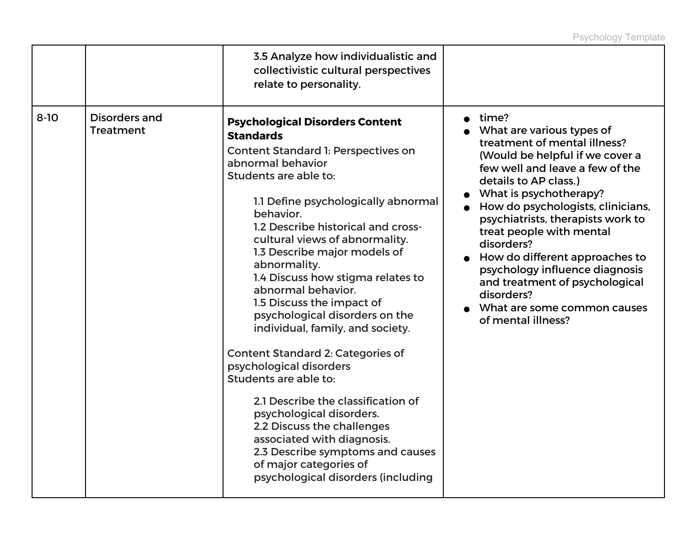|          |                                          | 3.5 Analyze how individualistic and<br>collectivistic cultural perspectives<br>relate to personality.                                                                                                                                                                                                                                                                                                                                                                                                                                                                                                                                                                                                                                                                                                                              |                                                                                                                                                                                                                                                                                                                                                                                                                                                                                          |
|----------|------------------------------------------|------------------------------------------------------------------------------------------------------------------------------------------------------------------------------------------------------------------------------------------------------------------------------------------------------------------------------------------------------------------------------------------------------------------------------------------------------------------------------------------------------------------------------------------------------------------------------------------------------------------------------------------------------------------------------------------------------------------------------------------------------------------------------------------------------------------------------------|------------------------------------------------------------------------------------------------------------------------------------------------------------------------------------------------------------------------------------------------------------------------------------------------------------------------------------------------------------------------------------------------------------------------------------------------------------------------------------------|
| $8 - 10$ | <b>Disorders and</b><br><b>Treatment</b> | <b>Psychological Disorders Content</b><br><b>Standards</b><br><b>Content Standard 1: Perspectives on</b><br>abnormal behavior<br>Students are able to:<br>1.1 Define psychologically abnormal<br>behavior.<br>1.2 Describe historical and cross-<br>cultural views of abnormality.<br>1.3 Describe major models of<br>abnormality.<br>1.4 Discuss how stigma relates to<br>abnormal behavior.<br>1.5 Discuss the impact of<br>psychological disorders on the<br>individual, family, and society.<br><b>Content Standard 2: Categories of</b><br>psychological disorders<br>Students are able to:<br>2.1 Describe the classification of<br>psychological disorders.<br>2.2 Discuss the challenges<br>associated with diagnosis.<br>2.3 Describe symptoms and causes<br>of major categories of<br>psychological disorders (including | time?<br>What are various types of<br>treatment of mental illness?<br>(Would be helpful if we cover a<br>few well and leave a few of the<br>details to AP class.)<br>What is psychotherapy?<br>How do psychologists, clinicians,<br>psychiatrists, therapists work to<br>treat people with mental<br>disorders?<br>How do different approaches to<br>psychology influence diagnosis<br>and treatment of psychological<br>disorders?<br>What are some common causes<br>of mental illness? |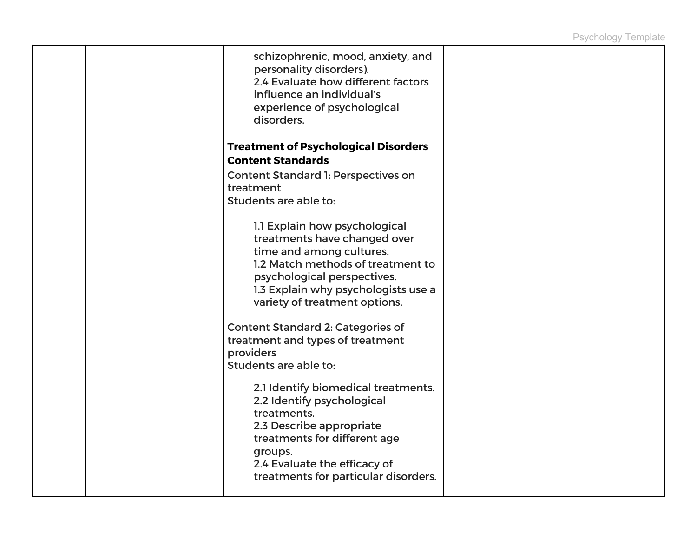| schizophrenic, mood, anxiety, and<br>personality disorders).<br>2.4 Evaluate how different factors<br>influence an individual's<br>experience of psychological<br>disorders.                                                          |  |
|---------------------------------------------------------------------------------------------------------------------------------------------------------------------------------------------------------------------------------------|--|
| <b>Treatment of Psychological Disorders</b><br><b>Content Standards</b>                                                                                                                                                               |  |
| <b>Content Standard 1: Perspectives on</b><br>treatment<br>Students are able to:                                                                                                                                                      |  |
| 1.1 Explain how psychological<br>treatments have changed over<br>time and among cultures.<br>1.2 Match methods of treatment to<br>psychological perspectives.<br>1.3 Explain why psychologists use a<br>variety of treatment options. |  |
| <b>Content Standard 2: Categories of</b><br>treatment and types of treatment<br>providers<br>Students are able to:                                                                                                                    |  |
| 2.1 Identify biomedical treatments.<br>2.2 Identify psychological<br>treatments.<br>2.3 Describe appropriate<br>treatments for different age<br>groups.<br>2.4 Evaluate the efficacy of<br>treatments for particular disorders.       |  |